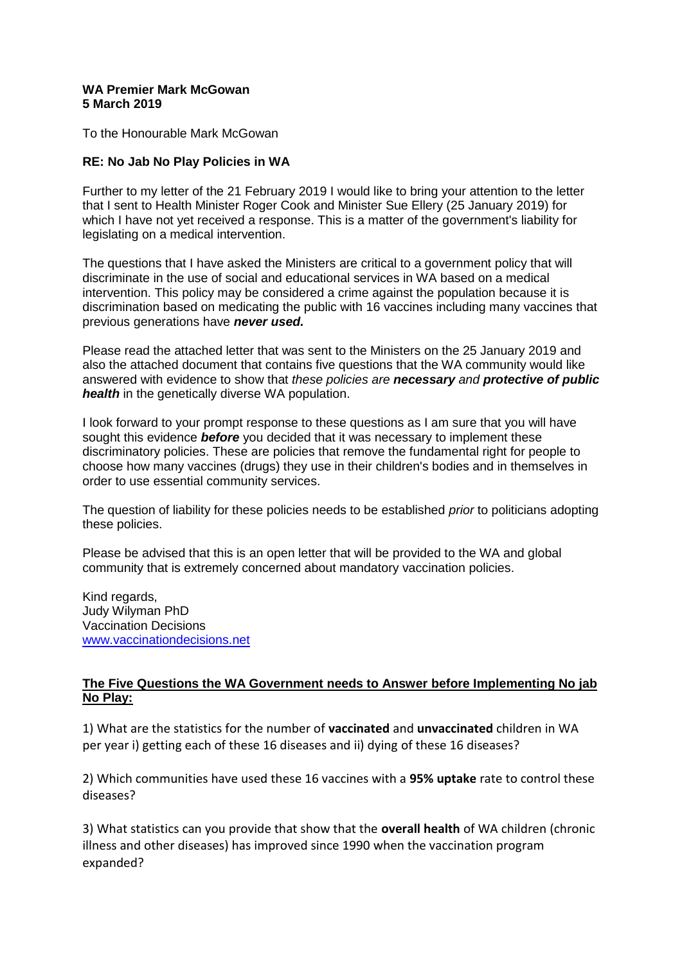## **WA Premier Mark McGowan 5 March 2019**

To the Honourable Mark McGowan

## **RE: No Jab No Play Policies in WA**

Further to my letter of the 21 February 2019 I would like to bring your attention to the letter that I sent to Health Minister Roger Cook and Minister Sue Ellery (25 January 2019) for which I have not yet received a response. This is a matter of the government's liability for legislating on a medical intervention.

The questions that I have asked the Ministers are critical to a government policy that will discriminate in the use of social and educational services in WA based on a medical intervention. This policy may be considered a crime against the population because it is discrimination based on medicating the public with 16 vaccines including many vaccines that previous generations have *never used.*

Please read the attached letter that was sent to the Ministers on the 25 January 2019 and also the attached document that contains five questions that the WA community would like answered with evidence to show that *these policies are necessary and protective of public health* in the genetically diverse WA population.

I look forward to your prompt response to these questions as I am sure that you will have sought this evidence *before* you decided that it was necessary to implement these discriminatory policies. These are policies that remove the fundamental right for people to choose how many vaccines (drugs) they use in their children's bodies and in themselves in order to use essential community services.

The question of liability for these policies needs to be established *prior* to politicians adopting these policies.

Please be advised that this is an open letter that will be provided to the WA and global community that is extremely concerned about mandatory vaccination policies.

Kind regards, Judy Wilyman PhD Vaccination Decisions [www.vaccinationdecisions.net](http://www.vaccinationdecisions.net/)

## **The Five Questions the WA Government needs to Answer before Implementing No jab No Play:**

1) What are the statistics for the number of **vaccinated** and **unvaccinated** children in WA per year i) getting each of these 16 diseases and ii) dying of these 16 diseases?

2) Which communities have used these 16 vaccines with a **95% uptake** rate to control these diseases?

3) What statistics can you provide that show that the **overall health** of WA children (chronic illness and other diseases) has improved since 1990 when the vaccination program expanded?